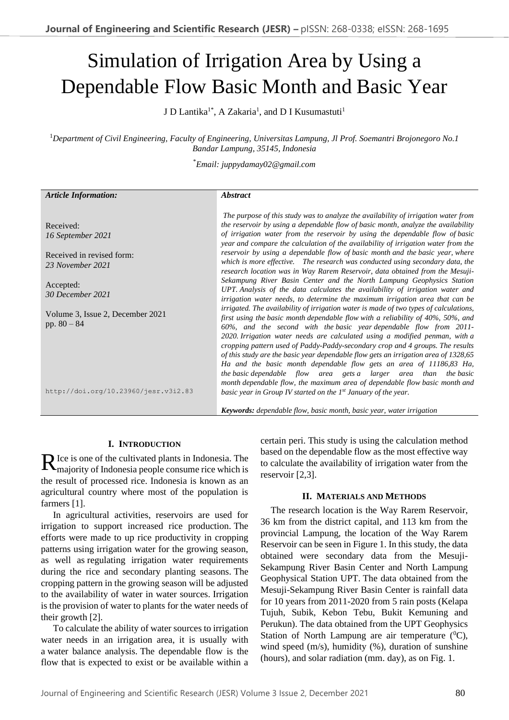# Simulation of Irrigation Area by Using a Dependable Flow Basic Month and Basic Year

J D Lantika $^{1*}$ , A Zakaria $^{1}$ , and D I Kusumastuti $^{1}$ 

<sup>1</sup>*Department of Civil Engineering, Faculty of Engineering, Universitas Lampung, Jl Prof. Soemantri Brojonegoro No.1 Bandar Lampung, 35145, Indonesia*

\**Email: juppydamay02@gmail.com*

| <b>Article Information:</b>          | <i><b>Abstract</b></i>                                                                                                                                                  |
|--------------------------------------|-------------------------------------------------------------------------------------------------------------------------------------------------------------------------|
|                                      |                                                                                                                                                                         |
| Received:                            | The purpose of this study was to analyze the availability of irrigation water from<br>the reservoir by using a dependable flow of basic month, analyze the availability |
| 16 September 2021                    | of irrigation water from the reservoir by using the dependable flow of basic                                                                                            |
|                                      | year and compare the calculation of the availability of irrigation water from the                                                                                       |
| Received in revised form:            | reservoir by using a dependable flow of basic month and the basic year, where                                                                                           |
| 23 November 2021                     | which is more effective. The research was conducted using secondary data, the                                                                                           |
|                                      | research location was in Way Rarem Reservoir, data obtained from the Mesuji-                                                                                            |
| Accepted:                            | Sekampung River Basin Center and the North Lampung Geophysics Station                                                                                                   |
| 30 December 2021                     | UPT. Analysis of the data calculates the availability of irrigation water and<br>irrigation water needs, to determine the maximum irrigation area that can be           |
|                                      | irrigated. The availability of irrigation water is made of two types of calculations,                                                                                   |
| Volume 3, Issue 2, December 2021     | first using the basic month dependable flow with a reliability of 40%, 50%, and                                                                                         |
| pp. $80 - 84$                        | 60%, and the second with the basic year dependable flow from 2011-                                                                                                      |
|                                      | 2020. Irrigation water needs are calculated using a modified penman, with a                                                                                             |
|                                      | cropping pattern used of Paddy-Paddy-secondary crop and 4 groups. The results                                                                                           |
|                                      | of this study are the basic year dependable flow gets an irrigation area of 1328,65                                                                                     |
|                                      | Ha and the basic month dependable flow gets an area of 11186,83 Ha,<br>the basic dependable flow area gets a larger area than the basic                                 |
|                                      | month dependable flow, the maximum area of dependable flow basic month and                                                                                              |
| http://doi.org/10.23960/jesr.v3i2.83 | basic year in Group IV started on the $I^{st}$ January of the year.                                                                                                     |
|                                      | <b>Keywords:</b> dependable flow, basic month, basic year, water irrigation                                                                                             |

## **I. INTRODUCTION**

Ice is one of the cultivated plants in Indonesia. The  $\mathbf{R}$  lce is one of the cultivated plants in Indonesia. The majority of Indonesia people consume rice which is the result of processed rice. Indonesia is known as an agricultural country where most of the population is farmers [1].

In agricultural activities, reservoirs are used for irrigation to support increased rice production. The efforts were made to up rice productivity in cropping patterns using irrigation water for the growing season, as well as regulating irrigation water requirements during the rice and secondary planting seasons. The cropping pattern in the growing season will be adjusted to the availability of water in water sources. Irrigation is the provision of water to plants for the water needs of their growth [2].

To calculate the ability of water sources to irrigation water needs in an irrigation area, it is usually with a water balance analysis. The dependable flow is the flow that is expected to exist or be available within a certain peri. This study is using the calculation method based on the dependable flow as the most effective way to calculate the availability of irrigation water from the reservoir [2,3].

## **II. MATERIALS AND METHODS**

The research location is the Way Rarem Reservoir, 36 km from the district capital, and 113 km from the provincial Lampung, the location of the Way Rarem Reservoir can be seen in Figure 1. In this study, the data obtained were secondary data from the Mesuji-Sekampung River Basin Center and North Lampung Geophysical Station UPT. The data obtained from the Mesuji-Sekampung River Basin Center is rainfall data for 10 years from 2011-2020 from 5 rain posts (Kelapa Tujuh, Subik, Kebon Tebu, Bukit Kemuning and Perukun). The data obtained from the UPT Geophysics Station of North Lampung are air temperature  $(^0C)$ , wind speed  $(m/s)$ , humidity  $(\%)$ , duration of sunshine (hours), and solar radiation (mm. day), as on Fig. 1.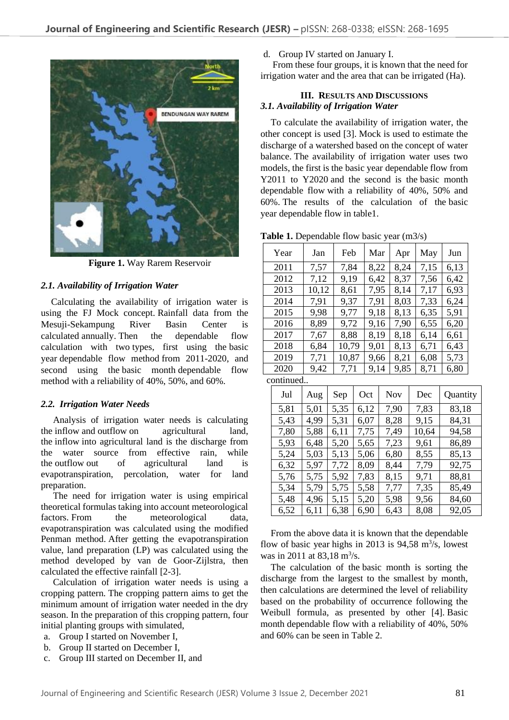

**Figure 1.** Way Rarem Reservoir

# *2.1. Availability of Irrigation Water*

Calculating the availability of irrigation water is using the FJ Mock concept. Rainfall data from the Mesuji-Sekampung River Basin Center is calculated annually. Then the dependable flow calculation with two types, first using the basic year dependable flow method from 2011-2020, and second using the basic month dependable flow method with a reliability of 40%, 50%, and 60%.

## *2.2. Irrigation Water Needs*

Analysis of irrigation water needs is calculating the inflow and outflow on agricultural land, the inflow into agricultural land is the discharge from the water source from effective rain, while the outflow out of agricultural land is evapotranspiration, percolation, water for land preparation.

The need for irrigation water is using empirical theoretical formulas taking into account meteorological factors. From the meteorological data, evapotranspiration was calculated using the modified Penman method. After getting the evapotranspiration value, land preparation (LP) was calculated using the method developed by van de Goor-Zijlstra, then calculated the effective rainfall [2-3].

Calculation of irrigation water needs is using a cropping pattern. The cropping pattern aims to get the minimum amount of irrigation water needed in the dry season. In the preparation of this cropping pattern, four initial planting groups with simulated,

- a. Group I started on November I,
- b. Group II started on December I,
- c. Group III started on December II, and

#### d. Group IV started on January I.

From these four groups, it is known that the need for irrigation water and the area that can be irrigated (Ha).

# **III. RESULTS AND DISCUSSIONS** *3.1. Availability of Irrigation Water*

To calculate the availability of irrigation water, the other concept is used [3]. Mock is used to estimate the discharge of a watershed based on the concept of water balance. The availability of irrigation water uses two models, the first is the basic year dependable flow from Y2011 to Y2020 and the second is the basic month dependable flow with a reliability of 40%, 50% and 60%. The results of the calculation of the basic year dependable flow in table1.

**Table 1.** Dependable flow basic year (m3/s)

| Jan   | Feb   | Mar  | Apr  | May  | Jun  |
|-------|-------|------|------|------|------|
| 7,57  | 7,84  | 8,22 | 8,24 | 7,15 | 6,13 |
| 7,12  | 9,19  | 6,42 | 8,37 | 7,56 | 6,42 |
| 10,12 | 8,61  | 7,95 | 8,14 | 7,17 | 6,93 |
| 7,91  | 9,37  | 7,91 | 8,03 | 7,33 | 6,24 |
| 9,98  | 9,77  | 9,18 | 8,13 | 6,35 | 5,91 |
| 8,89  | 9,72  | 9,16 | 7,90 | 6,55 | 6,20 |
| 7,67  | 8,88  | 8,19 | 8,18 | 6,14 | 6,61 |
| 6,84  | 10,79 | 9,01 | 8,13 | 6,71 | 6,43 |
| 7,71  | 10,87 | 9,66 | 8,21 | 6,08 | 5,73 |
| 9,42  | 7,71  | 9,14 | 9,85 | 8,71 | 6,80 |
|       |       |      |      |      |      |

continued..

| Jul  | Aug  | Sep  | Oct  | Nov  | Dec   | Quantity |
|------|------|------|------|------|-------|----------|
| 5,81 | 5,01 | 5,35 | 6,12 | 7,90 | 7,83  | 83,18    |
| 5,43 | 4,99 | 5,31 | 6,07 | 8,28 | 9,15  | 84,31    |
| 7,80 | 5,88 | 6,11 | 7,75 | 7,49 | 10,64 | 94,58    |
| 5,93 | 6,48 | 5,20 | 5,65 | 7,23 | 9,61  | 86,89    |
| 5,24 | 5,03 | 5,13 | 5,06 | 6,80 | 8,55  | 85,13    |
| 6,32 | 5,97 | 7,72 | 8,09 | 8,44 | 7,79  | 92,75    |
| 5,76 | 5,75 | 5,92 | 7,83 | 8,15 | 9,71  | 88,81    |
| 5,34 | 5,79 | 5,75 | 5,58 | 7,77 | 7,35  | 85,49    |
| 5,48 | 4,96 | 5,15 | 5,20 | 5,98 | 9,56  | 84,60    |
| 6,52 | 6,11 | 6,38 | 6,90 | 6,43 | 8,08  | 92,05    |

From the above data it is known that the dependable flow of basic year highs in 2013 is  $94,58$  m<sup>3</sup>/s, lowest was in 2011 at 83,18  $\text{m}^3/\text{s}$ .

The calculation of the basic month is sorting the discharge from the largest to the smallest by month, then calculations are determined the level of reliability based on the probability of occurrence following the Weibull formula, as presented by other [4]. Basic month dependable flow with a reliability of 40%, 50% and 60% can be seen in Table 2.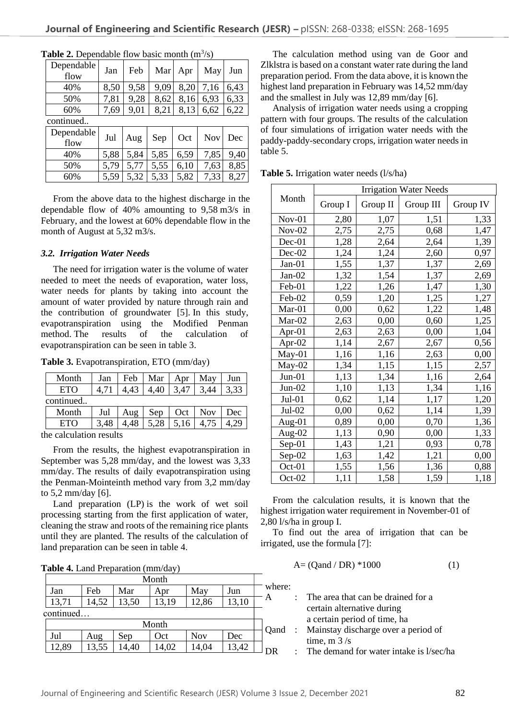| Dependable<br>flow | Jan  | Feb  | Mar  | Apr  | May        | Jun  |
|--------------------|------|------|------|------|------------|------|
| 40%                | 8,50 | 9,58 | 9,09 | 8,20 | 7,16       | 6,43 |
| 50%                | 7,81 | 9,28 | 8,62 | 8,16 | 6,93       | 6,33 |
| 60%                | 7,69 | 9,01 | 8,21 | 8,13 | 6,62       | 6,22 |
| continued          |      |      |      |      |            |      |
| Dependable<br>flow | Jul  | Aug  | Sep  | Oct  | <b>Nov</b> | Dec  |
| 40%                | 5,88 | 5,84 | 5,85 | 6,59 | 7,85       | 9,40 |
| 50%                | 5.79 | 5,77 | 5,55 | 6.10 | 7.63       | 8,85 |

**Table 2.** Dependable flow basic month  $(m^3/s)$ 

From the above data to the highest discharge in the dependable flow of 40% amounting to 9,58 m3/s in February, and the lowest at 60% dependable flow in the month of August at 5,32 m3/s.

60% 5,59 5,32 5,33 5,82 7,33 8,27

#### *3.2. Irrigation Water Needs*

The need for irrigation water is the volume of water needed to meet the needs of evaporation, water loss, water needs for plants by taking into account the amount of water provided by nature through rain and the contribution of groundwater [5]. In this study, evapotranspiration using the Modified Penman method. The results of the calculation of evapotranspiration can be seen in table 3.

**Table 3.** Evapotranspiration, ETO (mm/day)

| Month      | Jan  | Feb | Mar  | Apr  | May        | Jun  |
|------------|------|-----|------|------|------------|------|
| <b>ETO</b> |      |     | 4,40 | 3,47 | 3,44       | 3,33 |
| continued  |      |     |      |      |            |      |
| Month      | Jul  | Aug | Sep  | Oct  | <b>Nov</b> | Dec  |
| ETO        | 3.48 |     | 5,28 | 5,16 |            |      |

the calculation results

From the results, the highest evapotranspiration in September was 5,28 mm/day, and the lowest was 3,33 mm/day. The results of daily evapotranspiration using the Penman-Mointeinth method vary from 3,2 mm/day to 5,2 mm/day [6].

Land preparation (LP) is the work of wet soil processing starting from the first application of water, cleaning the straw and roots of the remaining rice plants until they are planted. The results of the calculation of land preparation can be seen in table 4.

|  | Table 4. Land Preparation (mm/day) |  |  |
|--|------------------------------------|--|--|
|--|------------------------------------|--|--|

|           |       |       | Month |            |       |      |
|-----------|-------|-------|-------|------------|-------|------|
| Jan       | Feb   | Mar   | Apr   | May        | Jun   | wher |
| 13,71     | 14,52 | 13,50 | 13,19 | 12,86      | 13,10 | Α    |
| continued |       |       |       |            |       |      |
|           |       |       | Month |            |       | Qand |
| Jul       | Aug   | Sep   | Oct   | <b>Nov</b> | Dec   |      |
| 12,89     | 13,55 | 4,40  | 14,02 | 14,04      | 13,42 | DR   |
|           |       |       |       |            |       |      |

The calculation method using van de Goor and Zlklstra is based on a constant water rate during the land preparation period. From the data above, it is known the highest land preparation in February was 14,52 mm/day and the smallest in July was 12,89 mm/day [6].

Analysis of irrigation water needs using a cropping pattern with four groups. The results of the calculation of four simulations of irrigation water needs with the paddy-paddy-secondary crops, irrigation water needs in table 5.

|           | <b>Irrigation Water Needs</b> |          |           |          |  |  |
|-----------|-------------------------------|----------|-----------|----------|--|--|
| Month     | Group I                       | Group II | Group III | Group IV |  |  |
| $Nov-01$  | 2,80                          | 1,07     | 1,51      | 1,33     |  |  |
| $Nov-02$  | 2,75                          | 2,75     | 0,68      | 1,47     |  |  |
| Dec-01    | 1,28                          | 2,64     | 2,64      | 1,39     |  |  |
| Dec-02    | 1,24                          | 1,24     | 2,60      | 0,97     |  |  |
| Jan-01    | 1,55                          | 1,37     | 1,37      | 2,69     |  |  |
| $Jan-02$  | 1,32                          | 1,54     | 1,37      | 2,69     |  |  |
| Feb-01    | 1,22                          | 1,26     | 1,47      | 1,30     |  |  |
| Feb-02    | 0,59                          | 1,20     | 1,25      | 1,27     |  |  |
| Mar-01    | 0,00                          | 0,62     | 1,22      | 1,48     |  |  |
| Mar-02    | 2,63                          | 0,00     | 0,60      | 1,25     |  |  |
| Apr- $01$ | 2,63                          | 2,63     | 0,00      | 1,04     |  |  |
| Apr-02    | 1,14                          | 2,67     | 2,67      | 0,56     |  |  |
| May-01    | 1,16                          | 1,16     | 2,63      | 0,00     |  |  |
| $May-02$  | 1,34                          | 1,15     | 1,15      | 2,57     |  |  |
| $Jun-01$  | 1,13                          | 1,34     | 1,16      | 2,64     |  |  |
| $Jun-02$  | 1,10                          | 1,13     | 1,34      | 1,16     |  |  |
| $Jul-01$  | 0,62                          | 1,14     | 1,17      | 1,20     |  |  |
| Jul-02    | 0,00                          | 0,62     | 1,14      | 1,39     |  |  |
| Aug-01    | 0,89                          | 0,00     | 0,70      | 1,36     |  |  |
| Aug-02    | 1,13                          | 0,90     | 0,00      | 1,33     |  |  |
| Sep-01    | 1,43                          | 1,21     | 0,93      | 0,78     |  |  |
| $Sep-02$  | 1,63                          | 1,42     | 1,21      | 0,00     |  |  |
| $Oct-01$  | 1,55                          | 1,56     | 1,36      | 0,88     |  |  |
| $Oct-02$  | 1,11                          | 1,58     | 1,59      | 1,18     |  |  |

**Table 5.** Irrigation water needs (l/s/ha)

From the calculation results, it is known that the highest irrigation water requirement in November-01 of 2,80 l/s/ha in group I.

To find out the area of irrigation that can be irrigated, use the formula [7]:

$$
A = (Qand / DR) * 1000 \tag{1}
$$

where:

| А | : The area that can be drained for a       |
|---|--------------------------------------------|
|   | certain alternative during                 |
|   | a certain period of time, ha               |
|   | Qand : Mainstay discharge over a period of |

time,  $m \frac{3}{s}$ 

: The demand for water intake is l/sec/ha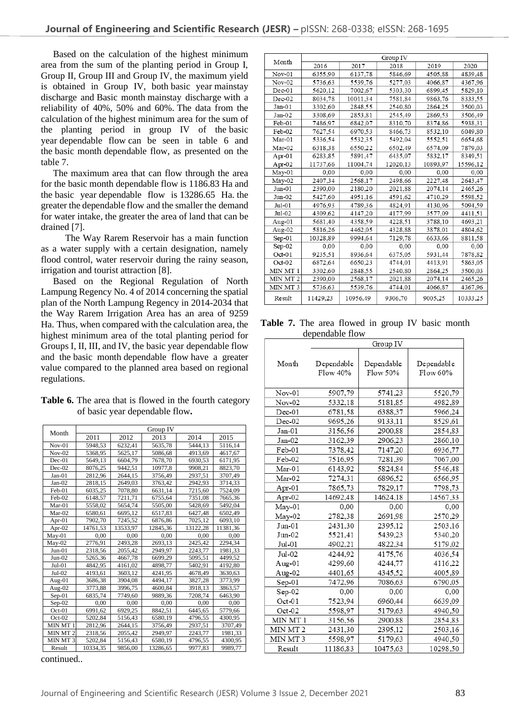Based on the calculation of the highest minimum area from the sum of the planting period in Group I, Group II, Group III and Group IV, the maximum yield is obtained in Group IV, both basic year mainstay discharge and Basic month mainstay discharge with a reliability of 40%, 50% and 60%. The data from the calculation of the highest minimum area for the sum of the planting period in group IV of the basic year dependable flow can be seen in table 6 and the basic month dependable flow, as presented on the table 7.

The maximum area that can flow through the area for the basic month dependable flow is 1186.83 Ha and the basic year dependable flow is 13286.65 Ha. the greater the dependable flow and the smaller the demand for water intake, the greater the area of land that can be drained [7].

The Way Rarem Reservoir has a main function as a water supply with a certain designation, namely flood control, water reservoir during the rainy season, irrigation and tourist attraction [8].

Based on the Regional Regulation of North Lampung Regency No. 4 of 2014 concerning the spatial plan of the North Lampung Regency in 2014-2034 that the Way Rarem Irrigation Area has an area of 9259 Ha. Thus, when compared with the calculation area, the highest minimum area of the total planting period for Groups I, II, III, and IV, the basic year dependable flow and the basic month dependable flow have a greater value compared to the planned area based on regional regulations.

| <b>Table 6.</b> The area that is flowed in the fourth category |
|----------------------------------------------------------------|
| of basic year dependable flow.                                 |

|                     |          |          | Group IV |          |          |
|---------------------|----------|----------|----------|----------|----------|
| Month               | 2011     | 2012     | 2013     | 2014     | 2015     |
| $Nov-01$            | 5948,53  | 6232,41  | 5635,78  | 5444,13  | 5116,14  |
| $Nov-02$            | 5368,95  | 5625,17  | 5086,68  | 4913,69  | 4617,67  |
| $Dec-01$            | 5649,13  | 6604,79  | 7678,70  | 6930,53  | 6171,95  |
| Dec-02              | 8076,25  | 9442,51  | 10977,8  | 9908,21  | 8823,70  |
| $Jan-01$            | 2812,96  | 2644,15  | 3756,49  | 2937,51  | 3707,49  |
| $Jan-02$            | 2818,15  | 2649,03  | 3763,42  | 2942,93  | 3714,33  |
| Feb-01              | 6035,25  | 7078,80  | 6631,14  | 7215,60  | 7524,09  |
| Feb-02              | 6148,57  | 7211,71  | 6755,64  | 7351,08  | 7665,36  |
| Mar-01              | 5558,02  | 5654,74  | 5505,00  | 5428,69  | 5492,04  |
| Mar-02              | 6580,61  | 6695,12  | 6517,83  | 6427,48  | 6502,49  |
| Apr-01              | 7902,70  | 7245,52  | 6876,86  | 7025,12  | 6093,10  |
| Apr-02              | 14761,53 | 13533,97 | 12845,36 | 13122,28 | 11381,36 |
| $May-01$            | 0,00     | 0.00     | 0,00     | 0,00     | 0.00     |
| $M$ ay-02           | 2776,91  | 2493,28  | 2693,13  | 2425,42  | 2294,34  |
| $Jun-01$            | 2318,56  | 2055,42  | 2949,97  | 2243,77  | 1981,33  |
| $Jun-02$            | 5265,36  | 4667,78  | 6699,29  | 5095,51  | 4499,52  |
| $Jul-01$            | 4842,95  | 4161,02  | 4898,77  | 5402,91  | 4192,80  |
| $Jul-02$            | 4193,61  | 3603,12  | 4241,95  | 4678,49  | 3630,63  |
| Aug-01              | 3686,38  | 3904,08  | 4494,17  | 3827,28  | 3773,99  |
| Aug-02              | 3773,88  | 3996,75  | 4600,84  | 3918,13  | 3863,57  |
| $Sep-01$            | 6835,74  | 7749,60  | 9889,36  | 7208,74  | 6463,90  |
| $Sep-02$            | 0,00     | 0.00     | 0,00     | 0,00     | 0.00     |
| Oct-01              | 6991,62  | 6929,25  | 8842,51  | 6445,65  | 5779,66  |
| $Oct-02$            | 5202,84  | 5156,43  | 6580,19  | 4796,55  | 4300,95  |
| MIN MT 1            | 2812,96  | 2644,15  | 3756,49  | 2937,51  | 3707,49  |
| MIN MT <sub>2</sub> | 2318,56  | 2055,42  | 2949,97  | 2243,77  | 1981,33  |
| MIN MT3             | 5202,84  | 5156,43  | 6580,19  | 4796,55  | 4300,95  |
| Result              | 10334,35 | 9856,00  | 13286,65 | 9977,83  | 9989.77  |

continued..

|           |          |          | Group IV |          |          |
|-----------|----------|----------|----------|----------|----------|
| Month     | 2016     | 2017     | 2018     | 2019     | 2020     |
| Nov-01    | 6355,90  | 6137.78  | 5846,69  | 4505.88  | 4839,48  |
| Nov-02    | 5736,63  | 5539,76  | 5277,03  | 4066,87  | 4367.96  |
| $Dec-01$  | 5620,12  | 7002,67  | 5303,30  | 6899,45  | 5829,10  |
| Dec-02    | 8034,78  | 10011.34 | 7581,84  | 9863,76  | 8333,55  |
| Jan-01    | 3302,60  | 2848.55  | 2540,80  | 2864,25  | 3500,03  |
| Jan-02    | 3308,69  | 2853.81  | 2545,49  | 2869,53  | 3506,49  |
| Feb-01    | 7486,97  | 6842,07  | 8310,70  | 8374,86  | 5938.31  |
| Feb-02    | 7627.54  | 6970.53  | 8466,73  | 8532,10  | 6049,80  |
| Mar-01    | 5336,54  | 5532,35  | 5492,04  | 5552,51  | 6654,68  |
| Mar-02    | 6318.38  | 6550.22  | 6502,49  | 6574,09  | 7879,03  |
| Apr- $01$ | 6283.85  | 5891,47  | 6435,07  | 5832,17  | 8349,51  |
| Apr-02    | 11737,66 | 11004,74 | 12020,13 | 10893,97 | 15596,12 |
| May-01    | 0.00     | 0.00     | 0.00     | 0.00     | 0.00     |
| $May-02$  | 2407.34  | 2568,17  | 2498,66  | 2227,48  | 2643,47  |
| Jun-01    | 2390,00  | 2180.20  | 2021,88  | 2074,14  | 2465.26  |
| $Jun-02$  | 5427,60  | 4951.16  | 4591,62  | 4710.29  | 5598,52  |
| Jul-01    | 4976.93  | 4789.36  | 4824,91  | 4130.96  | 5094.59  |
| Jul-02    | 4309.62  | 4147.20  | 4177,99  | 3577,09  | 4411,51  |
| Aug- $01$ | 5681.40  | 4358.59  | 4228.51  | 3788,10  | 4693.21  |
| Aug-02    | 5816,26  | 4462.05  | 4328,88  | 3878,01  | 4804,62  |
| $Sep-01$  | 10328,89 | 9994,64  | 7129,78  | 6633.66  | 8811,58  |
| $Sep-02$  | 0.00     | 0.00     | 0.00     | 0.00     | 0.00     |
| $Oct-01$  | 9235.51  | 8936.64  | 6375,05  | 5931,44  | 7878,82  |
| $Oct-02$  | 6872,64  | 6650,23  | 4744,01  | 4413,91  | 5863,05  |
| MIN MT 1  | 3302,60  | 2848.55  | 2540,80  | 2864.25  | 3500,03  |
| MIN MT 2  | 2390,00  | 2568,17  | 2021,88  | 2074,14  | 2465,26  |
| MIN MT 3  | 5736.63  | 5539.76  | 4744,01  | 4066,87  | 4367.96  |
| Result    | 11429.23 | 10956,49 | 9306,70  | 9005.25  | 10333,25 |

Table 7. The area flowed in group IV basic month dependable flow

|                     | Group IV               |                        |                        |
|---------------------|------------------------|------------------------|------------------------|
| Month               | Dependable<br>Flow 40% | Dependable<br>Flow 50% | Dependable<br>Flow 60% |
| Nov-01              | 5907,79                | 5741,23                | 5520,79                |
| $Nov-02$            | 5332,18                | 5181,85                | 4982,89                |
| $Dec-01$            | 6781,58                | 6388,37                | 5966,24                |
| $Dec-02$            | 9695,26                | 9133,11                | 8529,61                |
| Jan-01              | 3156,56                | 2900,88                | 2854.83                |
| $Jan-02$            | 3162,39                | 2906,23                | 2860,10                |
| Feb-01              | 7378,42                | 7147,20                | 6936,77                |
| $Feb-02$            | 7516,95                | 7281,39                | 7067,00                |
| $Mar-01$            | 6143,92                | 5824,84                | 5546,48                |
| Mar-02              | 7274,31                | 6896,52                | 6566,95                |
| Apr-01              | 7865,73                | 7829,17                | 7798,73                |
| Apr-02              | 14692,48               | 14624,18               | 14567,33               |
| $May-01$            | 0,00                   | 0,00                   | 0.00                   |
| May-02              | 2782,38                | 2691,98                | 2570.29                |
| $Jun-01$            | 2431,30                | 2395,12                | 2503,16                |
| $Jun-02$            | 5521,41                | 5439.23                | 5340.20                |
| $Jul-01$            | 4902,21                | 4822,34                | 5179,02                |
| $Jul-02$            | 4244.92                | 4175,76                | 4036,54                |
| Aug-01              | 4299,60                | 4244,77                | 4116,22                |
| Aug-02              | 4401,65                | 4345,52                | 4005,89                |
| $Sep-01$            | 7472,96                | 7086,63                | 6790,05                |
| $Sep-02$            | 0.00                   | 0.00                   | 0.00                   |
| $Oct-01$            | 7523,94                | 6960,44                | 6639,09                |
| $Oct-02$            | 5598,97                | 5179,63                | 4940,50                |
| MIN MT 1            | 3156,56                | 2900,88                | 2854,83                |
| MIN MT <sub>2</sub> | 2431,30                | 2395,12                | 2503,16                |
| MIN MT3             | 5598,97                | 5179,63                | 4940,50                |
| Result              | 11186,83               | 10475,63               | 10298,50               |